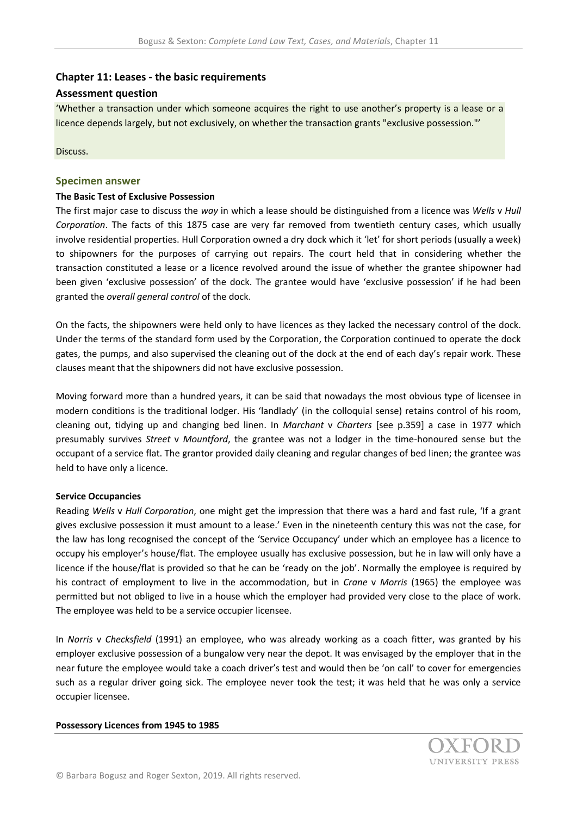# **Chapter 11: Leases - the basic requirements**

## **Assessment question**

'Whether a transaction under which someone acquires the right to use another's property is a lease or a licence depends largely, but not exclusively, on whether the transaction grants "exclusive possession."'

Discuss.

## **Specimen answer**

#### **The Basic Test of Exclusive Possession**

The first major case to discuss the *way* in which a lease should be distinguished from a licence was *Wells* v *Hull Corporation*. The facts of this 1875 case are very far removed from twentieth century cases, which usually involve residential properties. Hull Corporation owned a dry dock which it 'let' for short periods (usually a week) to shipowners for the purposes of carrying out repairs. The court held that in considering whether the transaction constituted a lease or a licence revolved around the issue of whether the grantee shipowner had been given 'exclusive possession' of the dock. The grantee would have 'exclusive possession' if he had been granted the *overall general control* of the dock.

On the facts, the shipowners were held only to have licences as they lacked the necessary control of the dock. Under the terms of the standard form used by the Corporation, the Corporation continued to operate the dock gates, the pumps, and also supervised the cleaning out of the dock at the end of each day's repair work. These clauses meant that the shipowners did not have exclusive possession.

Moving forward more than a hundred years, it can be said that nowadays the most obvious type of licensee in modern conditions is the traditional lodger. His 'landlady' (in the colloquial sense) retains control of his room, cleaning out, tidying up and changing bed linen. In *Marchant* v *Charters* [see p.359] a case in 1977 which presumably survives *Street* v *Mountford*, the grantee was not a lodger in the time-honoured sense but the occupant of a service flat. The grantor provided daily cleaning and regular changes of bed linen; the grantee was held to have only a licence.

## **Service Occupancies**

Reading *Wells* v *Hull Corporation*, one might get the impression that there was a hard and fast rule, 'If a grant gives exclusive possession it must amount to a lease.' Even in the nineteenth century this was not the case, for the law has long recognised the concept of the 'Service Occupancy' under which an employee has a licence to occupy his employer's house/flat. The employee usually has exclusive possession, but he in law will only have a licence if the house/flat is provided so that he can be 'ready on the job'. Normally the employee is required by his contract of employment to live in the accommodation, but in *Crane* v *Morris* (1965) the employee was permitted but not obliged to live in a house which the employer had provided very close to the place of work. The employee was held to be a service occupier licensee.

In *Norris* v *Checksfield* (1991) an employee, who was already working as a coach fitter, was granted by his employer exclusive possession of a bungalow very near the depot. It was envisaged by the employer that in the near future the employee would take a coach driver's test and would then be 'on call' to cover for emergencies such as a regular driver going sick. The employee never took the test; it was held that he was only a service occupier licensee.

#### **Possessory Licences from 1945 to 1985**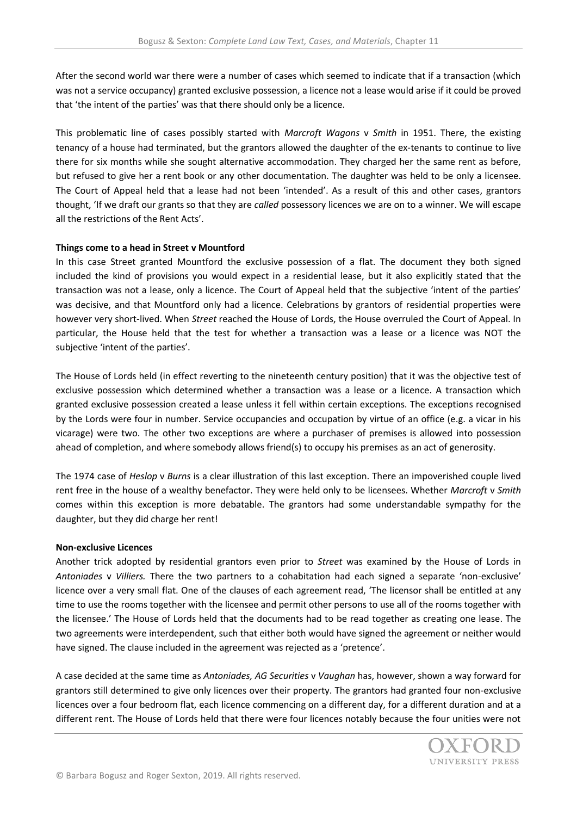After the second world war there were a number of cases which seemed to indicate that if a transaction (which was not a service occupancy) granted exclusive possession, a licence not a lease would arise if it could be proved that 'the intent of the parties' was that there should only be a licence.

This problematic line of cases possibly started with *Marcroft Wagons* v *Smith* in 1951. There, the existing tenancy of a house had terminated, but the grantors allowed the daughter of the ex-tenants to continue to live there for six months while she sought alternative accommodation. They charged her the same rent as before, but refused to give her a rent book or any other documentation. The daughter was held to be only a licensee. The Court of Appeal held that a lease had not been 'intended'. As a result of this and other cases, grantors thought, 'If we draft our grants so that they are *called* possessory licences we are on to a winner. We will escape all the restrictions of the Rent Acts'.

## **Things come to a head in Street v Mountford**

In this case Street granted Mountford the exclusive possession of a flat. The document they both signed included the kind of provisions you would expect in a residential lease, but it also explicitly stated that the transaction was not a lease, only a licence. The Court of Appeal held that the subjective 'intent of the parties' was decisive, and that Mountford only had a licence. Celebrations by grantors of residential properties were however very short-lived. When *Street* reached the House of Lords, the House overruled the Court of Appeal. In particular, the House held that the test for whether a transaction was a lease or a licence was NOT the subjective 'intent of the parties'.

The House of Lords held (in effect reverting to the nineteenth century position) that it was the objective test of exclusive possession which determined whether a transaction was a lease or a licence. A transaction which granted exclusive possession created a lease unless it fell within certain exceptions. The exceptions recognised by the Lords were four in number. Service occupancies and occupation by virtue of an office (e.g. a vicar in his vicarage) were two. The other two exceptions are where a purchaser of premises is allowed into possession ahead of completion, and where somebody allows friend(s) to occupy his premises as an act of generosity.

The 1974 case of *Heslop* v *Burns* is a clear illustration of this last exception. There an impoverished couple lived rent free in the house of a wealthy benefactor. They were held only to be licensees. Whether *Marcroft* v *Smith*  comes within this exception is more debatable. The grantors had some understandable sympathy for the daughter, but they did charge her rent!

## **Non-exclusive Licences**

Another trick adopted by residential grantors even prior to *Street* was examined by the House of Lords in *Antoniades* v *Villiers.* There the two partners to a cohabitation had each signed a separate 'non-exclusive' licence over a very small flat. One of the clauses of each agreement read, 'The licensor shall be entitled at any time to use the rooms together with the licensee and permit other persons to use all of the rooms together with the licensee.' The House of Lords held that the documents had to be read together as creating one lease. The two agreements were interdependent, such that either both would have signed the agreement or neither would have signed. The clause included in the agreement was rejected as a 'pretence'.

A case decided at the same time as *Antoniades, AG Securities* v *Vaughan* has, however, shown a way forward for grantors still determined to give only licences over their property. The grantors had granted four non-exclusive licences over a four bedroom flat, each licence commencing on a different day, for a different duration and at a different rent. The House of Lords held that there were four licences notably because the four unities were not